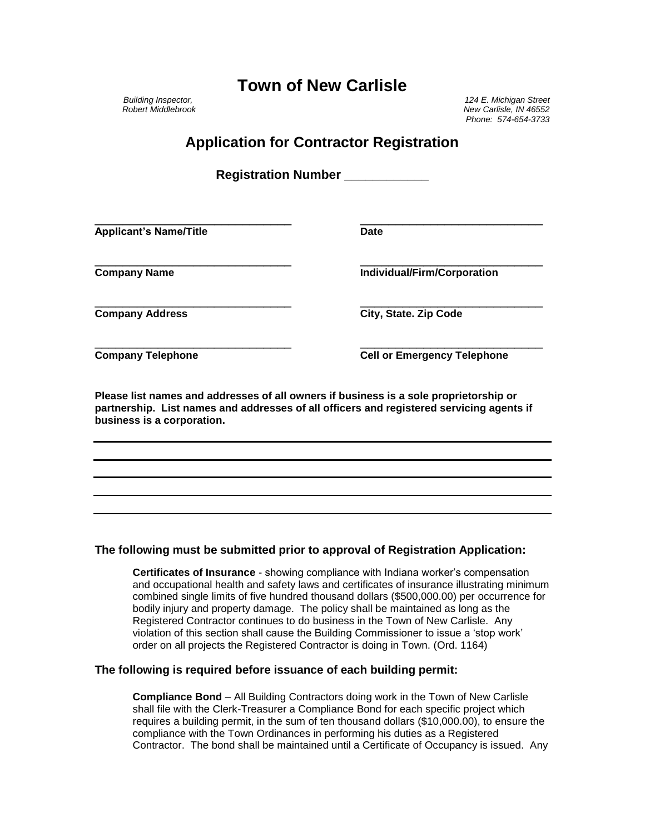## **Town of New Carlisle**

*Building Inspector, 124 E. Michigan Street Robert Middlebrook New Carlisle, IN 46552 Phone: 574-654-3733*

## **Application for Contractor Registration**

**Registration Number \_\_\_\_\_\_\_\_\_\_\_\_**

\_\_\_\_\_\_\_\_\_\_\_\_\_\_\_\_\_\_\_\_\_\_\_\_\_\_\_\_ \_\_\_\_\_\_\_\_\_\_\_\_\_\_\_\_\_\_\_\_\_\_\_\_\_\_ Applicant's Name/Title **Date Date** 

\_\_\_\_\_\_\_\_\_\_\_\_\_\_\_\_\_\_\_\_\_\_\_\_\_\_\_\_ \_\_\_\_\_\_\_\_\_\_\_\_\_\_\_\_\_\_\_\_\_\_\_\_\_\_ **Company Name Individual/Firm/Corporation**

**Company Address City, State. Zip Code**

\_\_\_\_\_\_\_\_\_\_\_\_\_\_\_\_\_\_\_\_\_\_\_\_\_\_\_\_ \_\_\_\_\_\_\_\_\_\_\_\_\_\_\_\_\_\_\_\_\_\_\_\_\_\_ **Company Telephone Cell or Emergency Telephone**

**Please list names and addresses of all owners if business is a sole proprietorship or partnership. List names and addresses of all officers and registered servicing agents if business is a corporation.**

\_\_\_\_\_\_\_\_\_\_\_\_\_\_\_\_\_\_\_\_\_\_\_\_\_\_\_\_ \_\_\_\_\_\_\_\_\_\_\_\_\_\_\_\_\_\_\_\_\_\_\_\_\_\_

### **The following must be submitted prior to approval of Registration Application:**

**Certificates of Insurance** - showing compliance with Indiana worker's compensation and occupational health and safety laws and certificates of insurance illustrating minimum combined single limits of five hundred thousand dollars (\$500,000.00) per occurrence for bodily injury and property damage. The policy shall be maintained as long as the Registered Contractor continues to do business in the Town of New Carlisle. Any violation of this section shall cause the Building Commissioner to issue a 'stop work' order on all projects the Registered Contractor is doing in Town. (Ord. 1164)

#### **The following is required before issuance of each building permit:**

**Compliance Bond** – All Building Contractors doing work in the Town of New Carlisle shall file with the Clerk-Treasurer a Compliance Bond for each specific project which requires a building permit, in the sum of ten thousand dollars (\$10,000.00), to ensure the compliance with the Town Ordinances in performing his duties as a Registered Contractor. The bond shall be maintained until a Certificate of Occupancy is issued. Any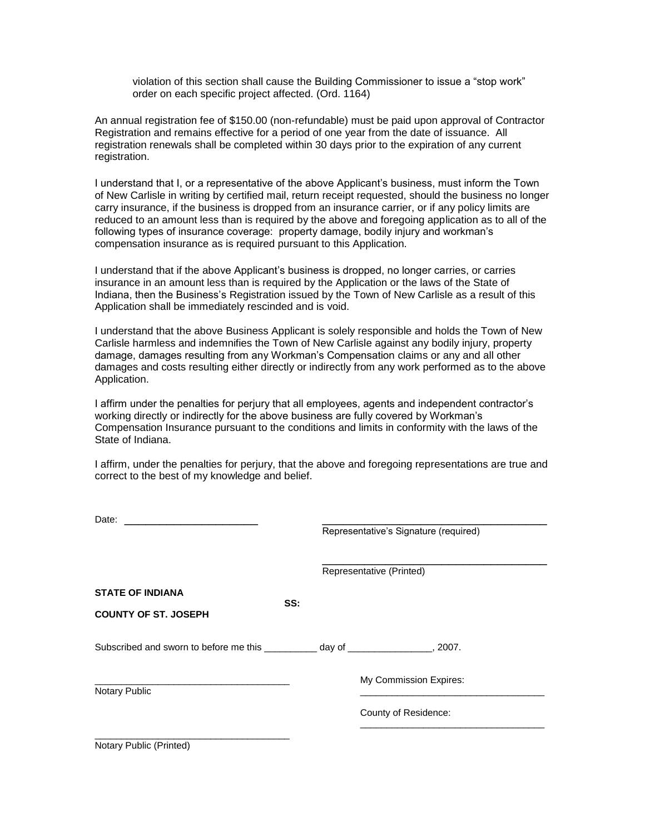violation of this section shall cause the Building Commissioner to issue a "stop work" order on each specific project affected. (Ord. 1164)

An annual registration fee of \$150.00 (non-refundable) must be paid upon approval of Contractor Registration and remains effective for a period of one year from the date of issuance. All registration renewals shall be completed within 30 days prior to the expiration of any current registration.

I understand that I, or a representative of the above Applicant's business, must inform the Town of New Carlisle in writing by certified mail, return receipt requested, should the business no longer carry insurance, if the business is dropped from an insurance carrier, or if any policy limits are reduced to an amount less than is required by the above and foregoing application as to all of the following types of insurance coverage: property damage, bodily injury and workman's compensation insurance as is required pursuant to this Application.

I understand that if the above Applicant's business is dropped, no longer carries, or carries insurance in an amount less than is required by the Application or the laws of the State of Indiana, then the Business's Registration issued by the Town of New Carlisle as a result of this Application shall be immediately rescinded and is void.

I understand that the above Business Applicant is solely responsible and holds the Town of New Carlisle harmless and indemnifies the Town of New Carlisle against any bodily injury, property damage, damages resulting from any Workman's Compensation claims or any and all other damages and costs resulting either directly or indirectly from any work performed as to the above Application.

I affirm under the penalties for perjury that all employees, agents and independent contractor's working directly or indirectly for the above business are fully covered by Workman's Compensation Insurance pursuant to the conditions and limits in conformity with the laws of the State of Indiana.

I affirm, under the penalties for perjury, that the above and foregoing representations are true and correct to the best of my knowledge and belief.

| Date: $\overline{\phantom{a}}$                                                     |     |                                       |
|------------------------------------------------------------------------------------|-----|---------------------------------------|
|                                                                                    |     | Representative's Signature (required) |
|                                                                                    |     | Representative (Printed)              |
| <b>STATE OF INDIANA</b>                                                            |     |                                       |
| <b>COUNTY OF ST. JOSEPH</b>                                                        | SS: |                                       |
| Subscribed and sworn to before me this ___________ day of _________________, 2007. |     |                                       |
| Notary Public                                                                      |     | My Commission Expires:                |
|                                                                                    |     | County of Residence:                  |
| Notary Public (Printed)                                                            |     |                                       |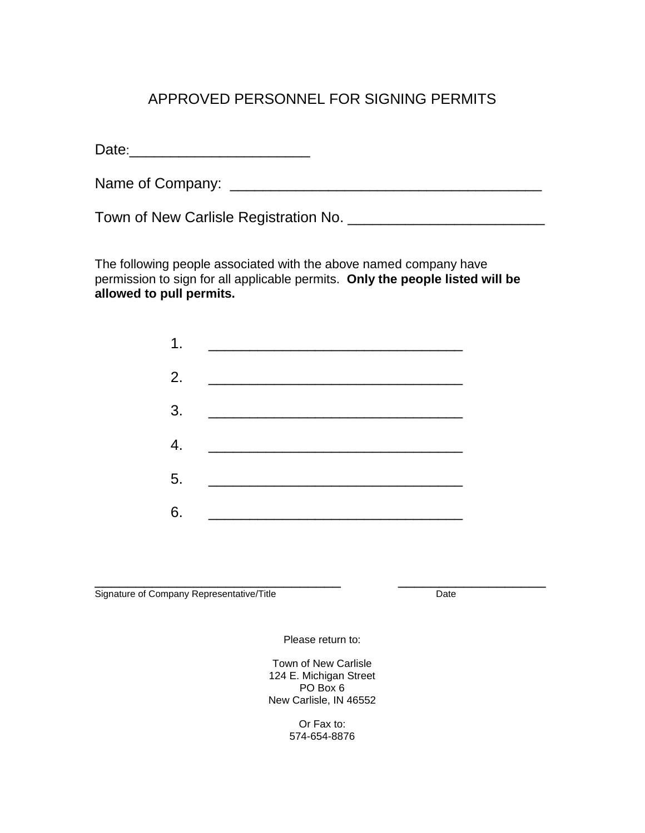## APPROVED PERSONNEL FOR SIGNING PERMITS

Date:\_\_\_\_\_\_\_\_\_\_\_\_\_\_\_\_\_\_\_\_\_\_

Name of Company: \_\_\_\_\_\_\_\_\_\_\_\_\_\_\_\_\_\_\_\_\_\_\_\_\_\_\_\_\_\_\_\_\_\_\_\_\_\_

Town of New Carlisle Registration No. \_\_\_\_\_\_\_\_\_\_\_\_\_\_\_\_\_\_\_\_\_\_\_\_

The following people associated with the above named company have permission to sign for all applicable permits. **Only the people listed will be allowed to pull permits.**

| 1.               |                                   |
|------------------|-----------------------------------|
| 2.               |                                   |
| 3.               |                                   |
| $\overline{4}$ . |                                   |
| 5.               | the company of the company of the |
| 6.               |                                   |

\_\_\_\_\_\_\_\_\_\_\_\_\_\_\_\_\_\_\_\_\_\_\_\_\_\_\_\_\_\_ \_\_\_\_\_\_\_\_\_\_\_\_\_\_\_\_\_\_ Signature of Company Representative/Title Date

Please return to:

Town of New Carlisle 124 E. Michigan Street PO Box 6 New Carlisle, IN 46552

> Or Fax to: 574-654-8876